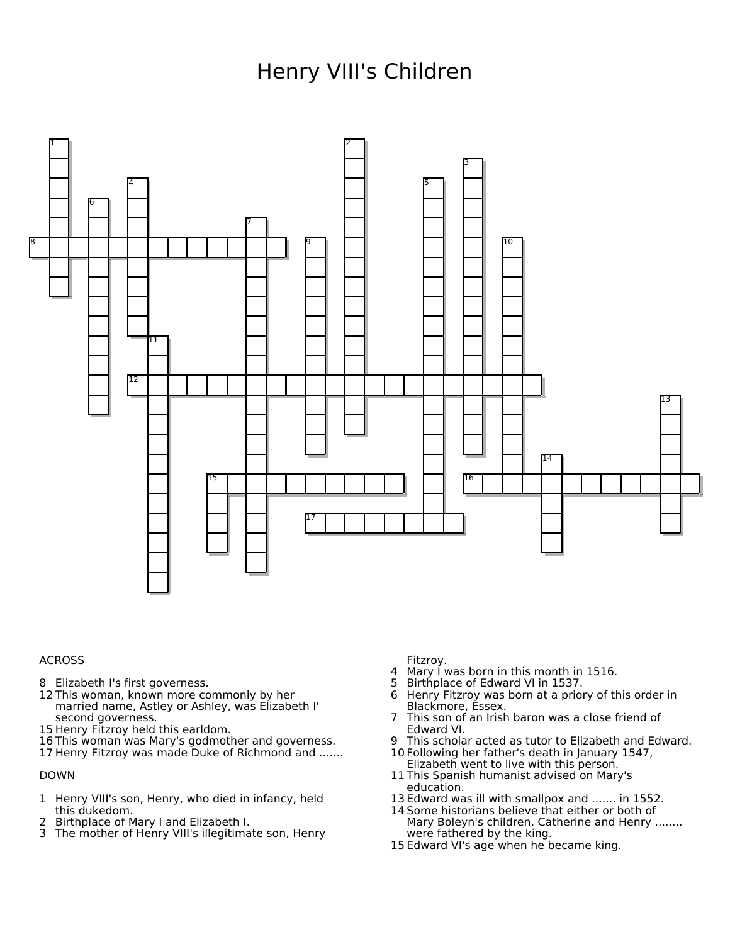## Henry VIII's Children



## ACROSS

- Elizabeth I's first governess.
- This woman, known more commonly by her married name, Astley or Ashley, was Elizabeth I' second governess.
- Henry Fitzroy held this earldom.
- This woman was Mary's godmother and governess.
- Henry Fitzroy was made Duke of Richmond and .......

## DOWN

- Henry VIII's son, Henry, who died in infancy, held this dukedom.
- Birthplace of Mary I and Elizabeth I.
- The mother of Henry VIII's illegitimate son, Henry

Fitzroy.

- Mary I was born in this month in 1516.
- Birthplace of Edward VI in 1537.
- Henry Fitzroy was born at a priory of this order in Blackmore, Essex.
- This son of an Irish baron was a close friend of Edward VI.
- This scholar acted as tutor to Elizabeth and Edward.
- Following her father's death in January 1547, Elizabeth went to live with this person.
- This Spanish humanist advised on Mary's education.
- Edward was ill with smallpox and ....... in 1552.
- Some historians believe that either or both of Mary Boleyn's children, Catherine and Henry ........ were fathered by the king.
- Edward VI's age when he became king.